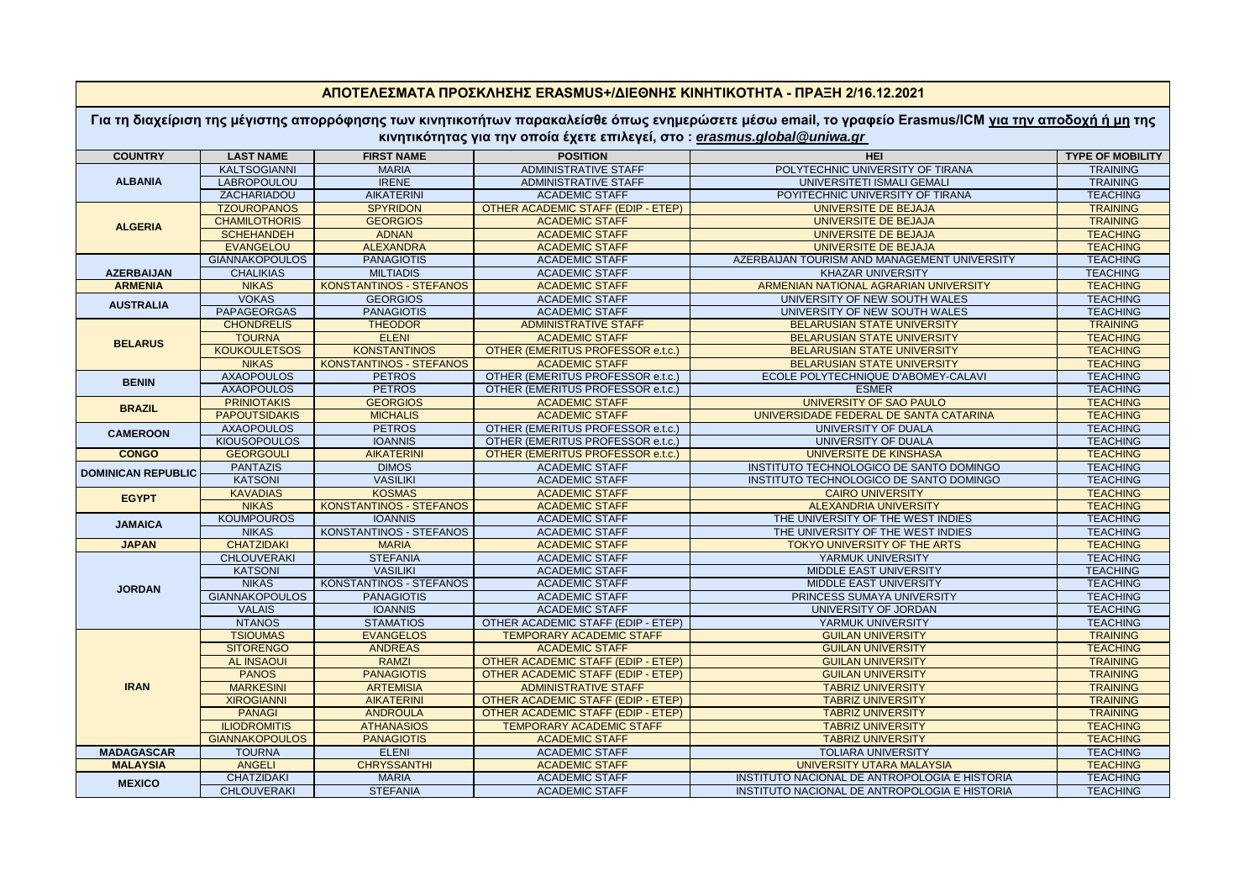| <u>ΑΠΟΤΕΛΕΣΜΑΤΑ ΠΡΟΣΚΛΗΣΗΣ ERASMUS+/ΔΙΕΘΝΗΣ ΚΙΝΗΤΙΚΟΤΗΤΑ - ΠΡΑΞΗ 2/16.12.2021</u>                                                                                                                                                         |                                      |                                    |                                                |                                                    |                                    |  |  |  |  |
|-------------------------------------------------------------------------------------------------------------------------------------------------------------------------------------------------------------------------------------------|--------------------------------------|------------------------------------|------------------------------------------------|----------------------------------------------------|------------------------------------|--|--|--|--|
| Για τη διαχείριση της μέγιστης απορρόφησης των κινητικοτήτων παρακαλείσθε όπως ενημερώσετε μέσω email, το γραφείο Erasmus/ICM <u>για την αποδοχή ή μη</u> της<br>κινητικότητας για την οποία έχετε επιλεγεί, στο: erasmus.global@uniwa.gr |                                      |                                    |                                                |                                                    |                                    |  |  |  |  |
| <b>COUNTRY</b>                                                                                                                                                                                                                            | <b>LAST NAME</b>                     | <b>FIRST NAME</b>                  | <b>POSITION</b>                                | <b>HEI</b>                                         | <b>TYPE OF MOBILITY</b>            |  |  |  |  |
|                                                                                                                                                                                                                                           | <b>KALTSOGIANNI</b>                  | <b>MARIA</b>                       | <b>ADMINISTRATIVE STAFF</b>                    | POLYTECHNIC UNIVERSITY OF TIRANA                   | <b>TRAINING</b>                    |  |  |  |  |
| <b>ALBANIA</b>                                                                                                                                                                                                                            | <b>LABROPOULOU</b>                   | <b>IRENE</b>                       | <b>ADMINISTRATIVE STAFF</b>                    | UNIVERSITETI ISMALI GEMALI                         | <b>TRAINING</b>                    |  |  |  |  |
|                                                                                                                                                                                                                                           | ZACHARIADOU                          | <b>AIKATERINI</b>                  | <b>ACADEMIC STAFF</b>                          | POYITECHNIC UNIVERSITY OF TIRANA                   | <b>TEACHING</b>                    |  |  |  |  |
| <b>ALGERIA</b>                                                                                                                                                                                                                            | <b>TZOUROPANOS</b>                   | <b>SPYRIDON</b>                    | OTHER ACADEMIC STAFF (EDIP - ETEP)             | UNIVERSITE DE BEJAJA                               | <b>TRAINING</b>                    |  |  |  |  |
|                                                                                                                                                                                                                                           | <b>CHAMILOTHORIS</b>                 | <b>GEORGIOS</b>                    | <b>ACADEMIC STAFF</b>                          | <b>UNIVERSITE DE BEJAJA</b>                        | <b>TRAINING</b>                    |  |  |  |  |
|                                                                                                                                                                                                                                           | <b>SCHEHANDEH</b>                    | <b>ADNAN</b>                       | <b>ACADEMIC STAFF</b>                          | UNIVERSITE DE BEJAJA                               | <b>TEACHING</b>                    |  |  |  |  |
|                                                                                                                                                                                                                                           | <b>EVANGELOU</b>                     | <b>ALEXANDRA</b>                   | <b>ACADEMIC STAFF</b>                          | UNIVERSITE DE BEJAJA                               | <b>TEACHING</b>                    |  |  |  |  |
| <b>AZERBAIJAN</b>                                                                                                                                                                                                                         | <b>GIANNAKOPOULOS</b>                | <b>PANAGIOTIS</b>                  | <b>ACADEMIC STAFF</b>                          | AZERBAIJAN TOURISM AND MANAGEMENT UNIVERSITY       | <b>TEACHING</b>                    |  |  |  |  |
|                                                                                                                                                                                                                                           | <b>CHALIKIAS</b>                     | <b>MILTIADIS</b>                   | <b>ACADEMIC STAFF</b>                          | <b>KHAZAR UNIVERSITY</b>                           | <b>TEACHING</b>                    |  |  |  |  |
| <b>ARMENIA</b>                                                                                                                                                                                                                            | <b>NIKAS</b>                         | <b>KONSTANTINOS - STEFANOS</b>     | <b>ACADEMIC STAFF</b>                          | ARMENIAN NATIONAL AGRARIAN UNIVERSITY              | <b>TEACHING</b>                    |  |  |  |  |
| <b>AUSTRALIA</b>                                                                                                                                                                                                                          | <b>VOKAS</b>                         | <b>GEORGIOS</b>                    | <b>ACADEMIC STAFF</b>                          | UNIVERSITY OF NEW SOUTH WALES                      | <b>TEACHING</b>                    |  |  |  |  |
|                                                                                                                                                                                                                                           | <b>PAPAGEORGAS</b>                   | <b>PANAGIOTIS</b>                  | <b>ACADEMIC STAFF</b>                          | UNIVERSITY OF NEW SOUTH WALES                      | <b>TEACHING</b>                    |  |  |  |  |
|                                                                                                                                                                                                                                           | <b>CHONDRELIS</b>                    | <b>THEODOR</b>                     | <b>ADMINISTRATIVE STAFF</b>                    | <b>BELARUSIAN STATE UNIVERSITY</b>                 | <b>TRAINING</b>                    |  |  |  |  |
|                                                                                                                                                                                                                                           | <b>TOURNA</b>                        | <b>ELENI</b>                       | <b>ACADEMIC STAFF</b>                          | BELARUSIAN STATE UNIVERSITY                        | <b>TEACHING</b>                    |  |  |  |  |
| <b>BELARUS</b>                                                                                                                                                                                                                            | <b>KOUKOULETSOS</b>                  | <b>KONSTANTINOS</b>                | OTHER (EMERITUS PROFESSOR e.t.c.)              | <b>BELARUSIAN STATE UNIVERSITY</b>                 | <b>TEACHING</b>                    |  |  |  |  |
|                                                                                                                                                                                                                                           | <b>NIKAS</b>                         | <b>KONSTANTINOS - STEFANOS</b>     | <b>ACADEMIC STAFF</b>                          | <b>BELARUSIAN STATE UNIVERSITY</b>                 | <b>TEACHING</b>                    |  |  |  |  |
|                                                                                                                                                                                                                                           | <b>AXAOPOULOS</b>                    | <b>PETROS</b>                      | OTHER (EMERITUS PROFESSOR e.t.c.)              | ECOLE POLYTECHNIQUE D'ABOMEY-CALAVI                | <b>TEACHING</b>                    |  |  |  |  |
| <b>BENIN</b>                                                                                                                                                                                                                              | <b>AXAOPOULOS</b>                    | <b>PETROS</b>                      | OTHER (EMERITUS PROFESSOR e.t.c.)              | <b>ESMER</b>                                       | <b>TEACHING</b>                    |  |  |  |  |
|                                                                                                                                                                                                                                           | <b>PRINIOTAKIS</b>                   | <b>GEORGIOS</b>                    | <b>ACADEMIC STAFF</b>                          | <b>UNIVERSITY OF SAO PAULO</b>                     | <b>TEACHING</b>                    |  |  |  |  |
| <b>BRAZIL</b>                                                                                                                                                                                                                             | <b>PAPOUTSIDAKIS</b>                 | <b>MICHALIS</b>                    | <b>ACADEMIC STAFF</b>                          | UNIVERSIDADE FEDERAL DE SANTA CATARINA             | <b>TEACHING</b>                    |  |  |  |  |
|                                                                                                                                                                                                                                           | <b>AXAOPOULOS</b>                    | <b>PETROS</b>                      | OTHER (EMERITUS PROFESSOR e.t.c.)              | UNIVERSITY OF DUALA                                | <b>TEACHING</b>                    |  |  |  |  |
| <b>CAMEROON</b>                                                                                                                                                                                                                           | <b>KIOUSOPOULOS</b>                  | <b>IOANNIS</b>                     | OTHER (EMERITUS PROFESSOR e.t.c.)              | <b>UNIVERSITY OF DUALA</b>                         | <b>TEACHING</b>                    |  |  |  |  |
| <b>CONGO</b>                                                                                                                                                                                                                              | <b>GEORGOULI</b>                     | <b>AIKATERINI</b>                  | OTHER (EMERITUS PROFESSOR e.t.c.)              | <b>UNIVERSITE DE KINSHASA</b>                      | <b>TEACHING</b>                    |  |  |  |  |
| <b>DOMINICAN REPUBLIC</b>                                                                                                                                                                                                                 | <b>PANTAZIS</b>                      | <b>DIMOS</b>                       | <b>ACADEMIC STAFF</b>                          | INSTITUTO TECHNOLOGICO DE SANTO DOMINGO            | <b>TEACHING</b>                    |  |  |  |  |
|                                                                                                                                                                                                                                           | <b>KATSONI</b>                       | <b>VASILIKI</b>                    | <b>ACADEMIC STAFF</b>                          | INSTITUTO TECHNOLOGICO DE SANTO DOMINGO            | <b>TEACHING</b>                    |  |  |  |  |
|                                                                                                                                                                                                                                           | <b>KAVADIAS</b>                      | <b>KOSMAS</b>                      | <b>ACADEMIC STAFF</b>                          | <b>CAIRO UNIVERSITY</b>                            | <b>TEACHING</b>                    |  |  |  |  |
| <b>EGYPT</b>                                                                                                                                                                                                                              | <b>NIKAS</b>                         | KONSTANTINOS - STEFANOS            | <b>ACADEMIC STAFF</b>                          | <b>ALEXANDRIA UNIVERSITY</b>                       | <b>TEACHING</b>                    |  |  |  |  |
|                                                                                                                                                                                                                                           | <b>KOUMPOUROS</b>                    | <b>IOANNIS</b>                     | <b>ACADEMIC STAFF</b>                          | THE UNIVERSITY OF THE WEST INDIES                  | <b>TEACHING</b>                    |  |  |  |  |
| <b>JAMAICA</b>                                                                                                                                                                                                                            | <b>NIKAS</b>                         | KONSTANTINOS - STEFANOS            | <b>ACADEMIC STAFF</b>                          | THE UNIVERSITY OF THE WEST INDIES                  | <b>TEACHING</b>                    |  |  |  |  |
| <b>JAPAN</b>                                                                                                                                                                                                                              | <b>CHATZIDAKI</b>                    | <b>MARIA</b>                       | <b>ACADEMIC STAFF</b>                          |                                                    |                                    |  |  |  |  |
|                                                                                                                                                                                                                                           |                                      |                                    |                                                | TOKYO UNIVERSITY OF THE ARTS                       | <b>TEACHING</b>                    |  |  |  |  |
|                                                                                                                                                                                                                                           | <b>CHLOUVERAKI</b><br><b>KATSONI</b> | <b>STEFANIA</b><br><b>VASILIKI</b> | <b>ACADEMIC STAFF</b><br><b>ACADEMIC STAFF</b> | YARMUK UNIVERSITY<br><b>MIDDLE EAST UNIVERSITY</b> | <b>TEACHING</b><br><b>TEACHING</b> |  |  |  |  |
| <b>JORDAN</b>                                                                                                                                                                                                                             | <b>NIKAS</b>                         | KONSTANTINOS - STEFANOS            | <b>ACADEMIC STAFF</b>                          | <b>MIDDLE EAST UNIVERSITY</b>                      | <b>TEACHING</b>                    |  |  |  |  |
|                                                                                                                                                                                                                                           | <b>GIANNAKOPOULOS</b>                | <b>PANAGIOTIS</b>                  | <b>ACADEMIC STAFF</b>                          | PRINCESS SUMAYA UNIVERSITY                         | <b>TEACHING</b>                    |  |  |  |  |
|                                                                                                                                                                                                                                           |                                      |                                    |                                                |                                                    |                                    |  |  |  |  |
|                                                                                                                                                                                                                                           | <b>VALAIS</b>                        | <b>IOANNIS</b>                     | <b>ACADEMIC STAFF</b>                          | UNIVERSITY OF JORDAN                               | <b>TEACHING</b>                    |  |  |  |  |
|                                                                                                                                                                                                                                           | <b>NTANOS</b>                        | <b>STAMATIOS</b>                   | OTHER ACADEMIC STAFF (EDIP - ETEP)             | YARMUK UNIVERSITY                                  | <b>TEACHING</b>                    |  |  |  |  |
|                                                                                                                                                                                                                                           | <b>TSIOUMAS</b>                      | <b>EVANGELOS</b>                   | <b>TEMPORARY ACADEMIC STAFF</b>                | <b>GUILAN UNIVERSITY</b>                           | <b>TRAINING</b>                    |  |  |  |  |
| <b>IRAN</b>                                                                                                                                                                                                                               | <b>SITORENGO</b>                     | <b>ANDREAS</b>                     | <b>ACADEMIC STAFF</b>                          | <b>GUILAN UNIVERSITY</b>                           | <b>TEACHING</b>                    |  |  |  |  |
|                                                                                                                                                                                                                                           | <b>AL INSAOUI</b>                    | <b>RAMZI</b>                       | <b>OTHER ACADEMIC STAFF (EDIP - ETEP)</b>      | <b>GUILAN UNIVERSITY</b>                           | <b>TRAINING</b>                    |  |  |  |  |
|                                                                                                                                                                                                                                           | <b>PANOS</b>                         | <b>PANAGIOTIS</b>                  | OTHER ACADEMIC STAFF (EDIP - ETEP)             | <b>GUILAN UNIVERSITY</b>                           | <b>TRAINING</b>                    |  |  |  |  |
|                                                                                                                                                                                                                                           | <b>MARKESINI</b>                     | <b>ARTEMISIA</b>                   | <b>ADMINISTRATIVE STAFF</b>                    | <b>TABRIZ UNIVERSITY</b>                           | <b>TRAINING</b>                    |  |  |  |  |
|                                                                                                                                                                                                                                           | <b>XIROGIANNI</b>                    | <b>AIKATERINI</b>                  | OTHER ACADEMIC STAFF (EDIP - ETEP)             | <b>TABRIZ UNIVERSITY</b>                           | <b>TRAINING</b>                    |  |  |  |  |
|                                                                                                                                                                                                                                           | <b>PANAGI</b>                        | <b>ANDROULA</b>                    | OTHER ACADEMIC STAFF (EDIP - ETEP)             | <b>TABRIZ UNIVERSITY</b>                           | <b>TRAINING</b>                    |  |  |  |  |
|                                                                                                                                                                                                                                           | <b>ILIODROMITIS</b>                  | <b>ATHANASIOS</b>                  | TEMPORARY ACADEMIC STAFF                       | <b>TABRIZ UNIVERSITY</b>                           | <b>TEACHING</b>                    |  |  |  |  |
|                                                                                                                                                                                                                                           | <b>GIANNAKOPOULOS</b>                | <b>PANAGIOTIS</b>                  | <b>ACADEMIC STAFF</b>                          | <b>TABRIZ UNIVERSITY</b>                           | <b>TEACHING</b>                    |  |  |  |  |
| <b>MADAGASCAR</b>                                                                                                                                                                                                                         | <b>TOURNA</b>                        | <b>ELENI</b>                       | <b>ACADEMIC STAFF</b>                          | <b>TOLIARA UNIVERSITY</b>                          | <b>TEACHING</b>                    |  |  |  |  |
| <b>MALAYSIA</b>                                                                                                                                                                                                                           | <b>ANGELI</b>                        | <b>CHRYSSANTHI</b>                 | <b>ACADEMIC STAFF</b>                          | <b>UNIVERSITY UTARA MALAYSIA</b>                   | <b>TEACHING</b>                    |  |  |  |  |
| <b>MEXICO</b>                                                                                                                                                                                                                             | <b>CHATZIDAKI</b>                    | <b>MARIA</b>                       | <b>ACADEMIC STAFF</b>                          | INSTITUTO NACIONAL DE ANTROPOLOGIA E HISTORIA      | <b>TEACHING</b>                    |  |  |  |  |
|                                                                                                                                                                                                                                           | <b>CHLOUVERAKI</b>                   | <b>STEFANIA</b>                    | <b>ACADEMIC STAFF</b>                          | INSTITUTO NACIONAL DE ANTROPOLOGIA E HISTORIA      | <b>TEACHING</b>                    |  |  |  |  |